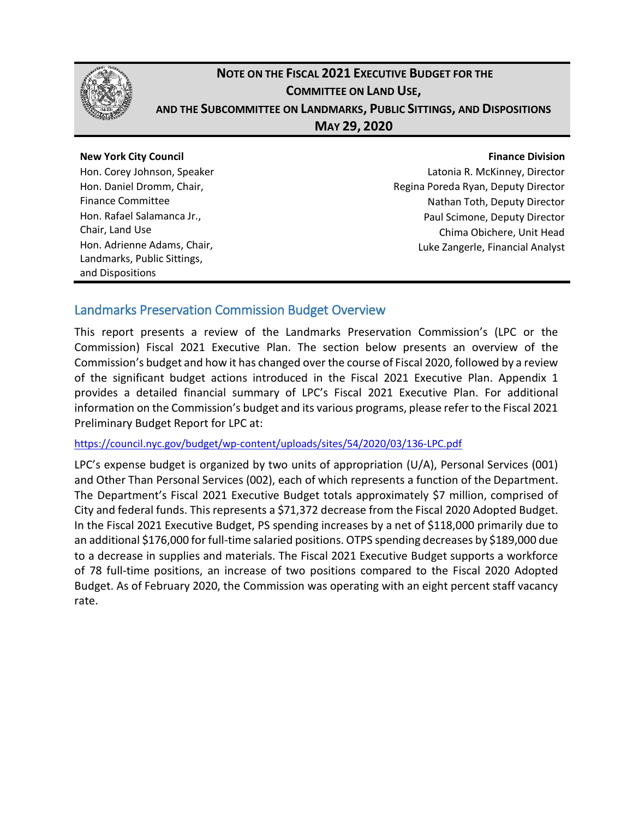

## **NOTE ON THE FISCAL 2021 EXECUTIVE BUDGET FOR THE COMMITTEE ON LAND USE, AND THE SUBCOMMITTEE ON LANDMARKS, PUBLIC SITTINGS, AND DISPOSITIONS MAY 29, 2020**

#### **New York City Council** Hon. Corey Johnson, Speaker Hon. Daniel Dromm, Chair, Finance Committee Hon. Rafael Salamanca Jr., Chair, Land Use Hon. Adrienne Adams, Chair, Landmarks, Public Sittings, and Dispositions

#### **Finance Division**

Latonia R. McKinney, Director Regina Poreda Ryan, Deputy Director Nathan Toth, Deputy Director Paul Scimone, Deputy Director Chima Obichere, Unit Head Luke Zangerle, Financial Analyst

### Landmarks Preservation Commission Budget Overview

This report presents a review of the Landmarks Preservation Commission's (LPC or the Commission) Fiscal 2021 Executive Plan. The section below presents an overview of the Commission's budget and how it has changed over the course of Fiscal 2020, followed by a review of the significant budget actions introduced in the Fiscal 2021 Executive Plan. Appendix 1 provides a detailed financial summary of LPC's Fiscal 2021 Executive Plan. For additional information on the Commission's budget and its various programs, please refer to the Fiscal 2021 Preliminary Budget Report for LPC at:

<https://council.nyc.gov/budget/wp-content/uploads/sites/54/2020/03/136-LPC.pdf>

LPC's expense budget is organized by two units of appropriation (U/A), Personal Services (001) and Other Than Personal Services (002), each of which represents a function of the Department. The Department's Fiscal 2021 Executive Budget totals approximately \$7 million, comprised of City and federal funds. This represents a \$71,372 decrease from the Fiscal 2020 Adopted Budget. In the Fiscal 2021 Executive Budget, PS spending increases by a net of \$118,000 primarily due to an additional \$176,000 for full-time salaried positions. OTPS spending decreases by \$189,000 due to a decrease in supplies and materials. The Fiscal 2021 Executive Budget supports a workforce of 78 full-time positions, an increase of two positions compared to the Fiscal 2020 Adopted Budget. As of February 2020, the Commission was operating with an eight percent staff vacancy rate.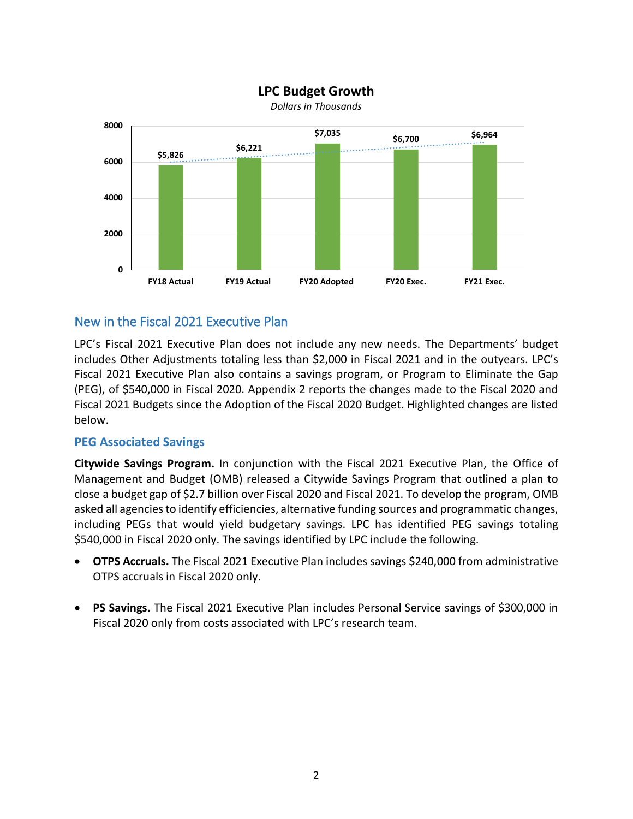

#### **LPC Budget Growth**

### New in the Fiscal 2021 Executive Plan

LPC's Fiscal 2021 Executive Plan does not include any new needs. The Departments' budget includes Other Adjustments totaling less than \$2,000 in Fiscal 2021 and in the outyears. LPC's Fiscal 2021 Executive Plan also contains a savings program, or Program to Eliminate the Gap (PEG), of \$540,000 in Fiscal 2020. Appendix 2 reports the changes made to the Fiscal 2020 and Fiscal 2021 Budgets since the Adoption of the Fiscal 2020 Budget. Highlighted changes are listed below.

#### **PEG Associated Savings**

**Citywide Savings Program.** In conjunction with the Fiscal 2021 Executive Plan, the Office of Management and Budget (OMB) released a Citywide Savings Program that outlined a plan to close a budget gap of \$2.7 billion over Fiscal 2020 and Fiscal 2021. To develop the program, OMB asked all agencies to identify efficiencies, alternative funding sources and programmatic changes, including PEGs that would yield budgetary savings. LPC has identified PEG savings totaling \$540,000 in Fiscal 2020 only. The savings identified by LPC include the following.

- **OTPS Accruals.** The Fiscal 2021 Executive Plan includes savings \$240,000 from administrative OTPS accruals in Fiscal 2020 only.
- **PS Savings.** The Fiscal 2021 Executive Plan includes Personal Service savings of \$300,000 in Fiscal 2020 only from costs associated with LPC's research team.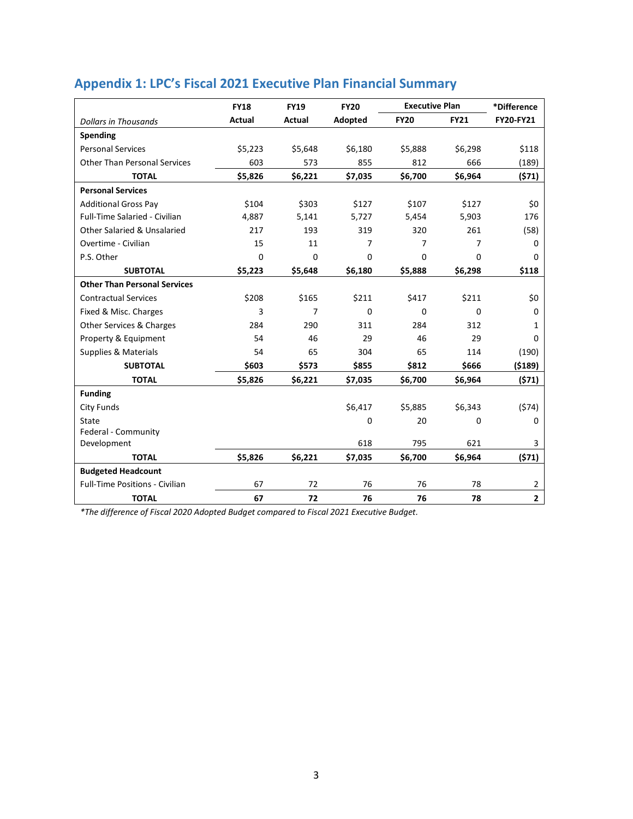|                                        | <b>FY18</b>   | <b>FY19</b>   | <b>FY20</b> | <b>Executive Plan</b> |             | *Difference      |
|----------------------------------------|---------------|---------------|-------------|-----------------------|-------------|------------------|
| <b>Dollars in Thousands</b>            | <b>Actual</b> | <b>Actual</b> | Adopted     | <b>FY20</b>           | <b>FY21</b> | <b>FY20-FY21</b> |
| <b>Spending</b>                        |               |               |             |                       |             |                  |
| <b>Personal Services</b>               | \$5,223       | \$5,648       | \$6,180     | \$5,888               | \$6,298     | \$118            |
| <b>Other Than Personal Services</b>    | 603           | 573           | 855         | 812                   | 666         | (189)            |
| <b>TOTAL</b>                           | \$5,826       | \$6,221       | \$7,035     | \$6,700               | \$6,964     | (571)            |
| <b>Personal Services</b>               |               |               |             |                       |             |                  |
| <b>Additional Gross Pay</b>            | \$104         | \$303         | \$127       | \$107                 | \$127       | \$0              |
| Full-Time Salaried - Civilian          | 4,887         | 5,141         | 5,727       | 5,454                 | 5,903       | 176              |
| <b>Other Salaried &amp; Unsalaried</b> | 217           | 193           | 319         | 320                   | 261         | (58)             |
| Overtime - Civilian                    | 15            | 11            | 7           | 7                     | 7           | 0                |
| P.S. Other                             | $\Omega$      | 0             | $\Omega$    | 0                     | $\Omega$    | 0                |
| <b>SUBTOTAL</b>                        | \$5,223       | \$5,648       | \$6,180     | \$5,888               | \$6,298     | \$118            |
| <b>Other Than Personal Services</b>    |               |               |             |                       |             |                  |
| <b>Contractual Services</b>            | \$208         | \$165         | \$211       | \$417                 | \$211       | \$0              |
| Fixed & Misc. Charges                  | 3             | 7             | $\Omega$    | 0                     | $\Omega$    | 0                |
| Other Services & Charges               | 284           | 290           | 311         | 284                   | 312         | 1                |
| Property & Equipment                   | 54            | 46            | 29          | 46                    | 29          | 0                |
| Supplies & Materials                   | 54            | 65            | 304         | 65                    | 114         | (190)            |
| <b>SUBTOTAL</b>                        | \$603         | \$573         | \$855       | \$812                 | \$666       | (5189)           |
| <b>TOTAL</b>                           | \$5,826       | \$6,221       | \$7,035     | \$6,700               | \$6,964     | (571)            |
| <b>Funding</b>                         |               |               |             |                       |             |                  |
| <b>City Funds</b>                      |               |               | \$6,417     | \$5,885               | \$6,343     | (574)            |
| State                                  |               |               | 0           | 20                    | 0           | 0                |
| Federal - Community                    |               |               |             |                       |             |                  |
| Development                            |               |               | 618         | 795                   | 621         | 3                |
| <b>TOTAL</b>                           | \$5,826       | \$6,221       | \$7,035     | \$6,700               | \$6,964     | (571)            |
| <b>Budgeted Headcount</b>              |               |               |             |                       |             |                  |
| <b>Full-Time Positions - Civilian</b>  | 67            | 72            | 76          | 76                    | 78          | $\overline{2}$   |
| <b>TOTAL</b>                           | 67            | 72            | 76          | 76                    | 78          | $\overline{2}$   |

# **Appendix 1: LPC's Fiscal 2021 Executive Plan Financial Summary**

*\*The difference of Fiscal 2020 Adopted Budget compared to Fiscal 2021 Executive Budget.*